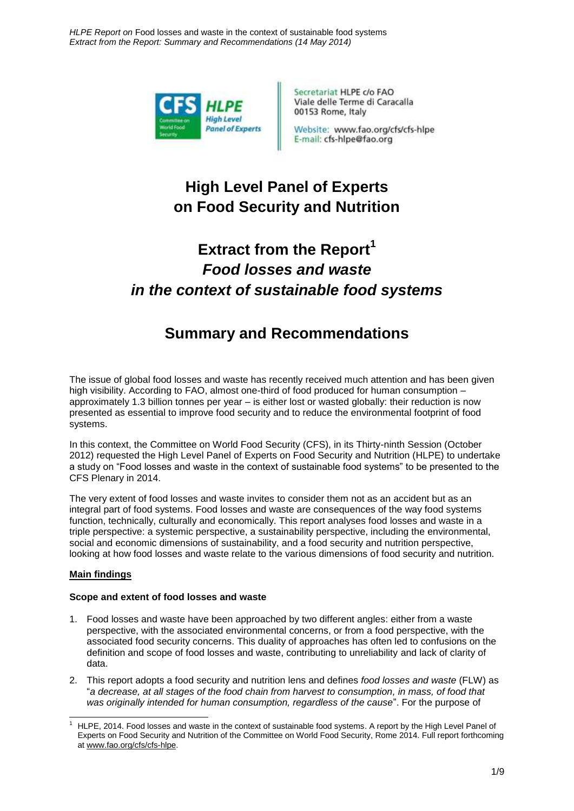*HLPE Report on* Food losses and waste in the context of sustainable food systems *Extract from the Report: Summary and Recommendations (14 May 2014)*



Secretariat HLPE c/o FAO Viale delle Terme di Caracalla 00153 Rome, Italy

Website: www.fao.org/cfs/cfs-hlpe E-mail: cfs-hlpe@fao.org

# **High Level Panel of Experts on Food Security and Nutrition**

# **Extract from the Report<sup>1</sup>** *Food losses and waste in the context of sustainable food systems*

## **Summary and Recommendations**

The issue of global food losses and waste has recently received much attention and has been given high visibility. According to FAO, almost one-third of food produced for human consumption – approximately 1.3 billion tonnes per year – is either lost or wasted globally: their reduction is now presented as essential to improve food security and to reduce the environmental footprint of food systems.

In this context, the Committee on World Food Security (CFS), in its Thirty-ninth Session (October 2012) requested the High Level Panel of Experts on Food Security and Nutrition (HLPE) to undertake a study on "Food losses and waste in the context of sustainable food systems" to be presented to the CFS Plenary in 2014.

The very extent of food losses and waste invites to consider them not as an accident but as an integral part of food systems. Food losses and waste are consequences of the way food systems function, technically, culturally and economically. This report analyses food losses and waste in a triple perspective: a systemic perspective, a sustainability perspective, including the environmental, social and economic dimensions of sustainability, and a food security and nutrition perspective, looking at how food losses and waste relate to the various dimensions of food security and nutrition.

#### **Main findings**

#### **Scope and extent of food losses and waste**

- 1. Food losses and waste have been approached by two different angles: either from a waste perspective, with the associated environmental concerns, or from a food perspective, with the associated food security concerns. This duality of approaches has often led to confusions on the definition and scope of food losses and waste, contributing to unreliability and lack of clarity of data.
- 2. This report adopts a food security and nutrition lens and defines *food losses and waste* (FLW) as "*a decrease, at all stages of the food chain from harvest to consumption, in mass, of food that was originally intended for human consumption, regardless of the cause*". For the purpose of

<sup>-</sup><sup>1</sup> HLPE, 2014. Food losses and waste in the context of sustainable food systems. A report by the High Level Panel of Experts on Food Security and Nutrition of the Committee on World Food Security, Rome 2014. Full report forthcoming at [www.fao.org/cfs/cfs-hlpe.](http://www.fao.org/cfs/cfs-hlpe)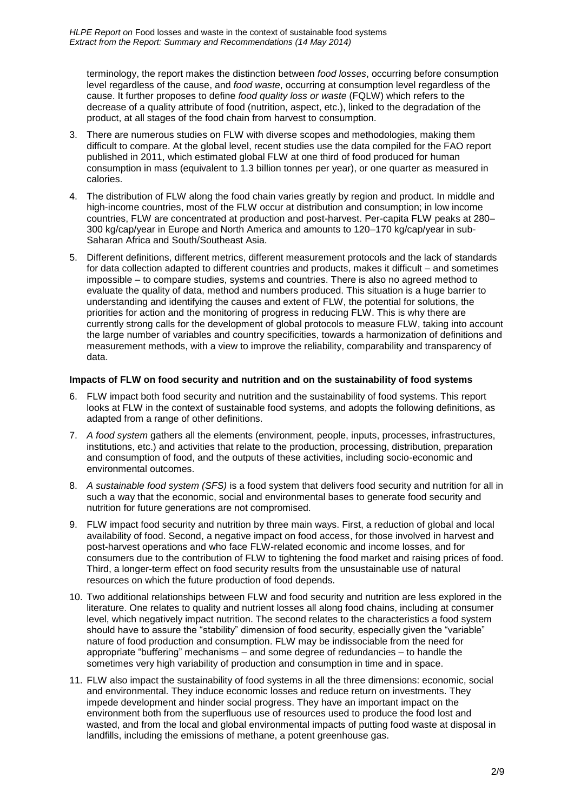terminology, the report makes the distinction between *food losses*, occurring before consumption level regardless of the cause, and *food waste*, occurring at consumption level regardless of the cause. It further proposes to define *food quality loss or waste* (FQLW) which refers to the decrease of a quality attribute of food (nutrition, aspect, etc.), linked to the degradation of the product, at all stages of the food chain from harvest to consumption.

- 3. There are numerous studies on FLW with diverse scopes and methodologies, making them difficult to compare. At the global level, recent studies use the data compiled for the FAO report published in 2011, which estimated global FLW at one third of food produced for human consumption in mass (equivalent to 1.3 billion tonnes per year), or one quarter as measured in calories.
- 4. The distribution of FLW along the food chain varies greatly by region and product. In middle and high-income countries, most of the FLW occur at distribution and consumption; in low income countries, FLW are concentrated at production and post-harvest. Per-capita FLW peaks at 280– 300 kg/cap/year in Europe and North America and amounts to 120–170 kg/cap/year in sub-Saharan Africa and South/Southeast Asia.
- 5. Different definitions, different metrics, different measurement protocols and the lack of standards for data collection adapted to different countries and products, makes it difficult – and sometimes impossible – to compare studies, systems and countries. There is also no agreed method to evaluate the quality of data, method and numbers produced. This situation is a huge barrier to understanding and identifying the causes and extent of FLW, the potential for solutions, the priorities for action and the monitoring of progress in reducing FLW. This is why there are currently strong calls for the development of global protocols to measure FLW, taking into account the large number of variables and country specificities, towards a harmonization of definitions and measurement methods, with a view to improve the reliability, comparability and transparency of data.

#### **Impacts of FLW on food security and nutrition and on the sustainability of food systems**

- 6. FLW impact both food security and nutrition and the sustainability of food systems. This report looks at FLW in the context of sustainable food systems, and adopts the following definitions, as adapted from a range of other definitions.
- 7. *A food system* gathers all the elements (environment, people, inputs, processes, infrastructures, institutions, etc.) and activities that relate to the production, processing, distribution, preparation and consumption of food, and the outputs of these activities, including socio-economic and environmental outcomes.
- 8. *A sustainable food system (SFS)* is a food system that delivers food security and nutrition for all in such a way that the economic, social and environmental bases to generate food security and nutrition for future generations are not compromised.
- 9. FLW impact food security and nutrition by three main ways. First, a reduction of global and local availability of food. Second, a negative impact on food access, for those involved in harvest and post-harvest operations and who face FLW-related economic and income losses, and for consumers due to the contribution of FLW to tightening the food market and raising prices of food. Third, a longer-term effect on food security results from the unsustainable use of natural resources on which the future production of food depends.
- 10. Two additional relationships between FLW and food security and nutrition are less explored in the literature. One relates to quality and nutrient losses all along food chains, including at consumer level, which negatively impact nutrition. The second relates to the characteristics a food system should have to assure the "stability" dimension of food security, especially given the "variable" nature of food production and consumption. FLW may be indissociable from the need for appropriate "buffering" mechanisms – and some degree of redundancies – to handle the sometimes very high variability of production and consumption in time and in space.
- 11. FLW also impact the sustainability of food systems in all the three dimensions: economic, social and environmental. They induce economic losses and reduce return on investments. They impede development and hinder social progress. They have an important impact on the environment both from the superfluous use of resources used to produce the food lost and wasted, and from the local and global environmental impacts of putting food waste at disposal in landfills, including the emissions of methane, a potent greenhouse gas.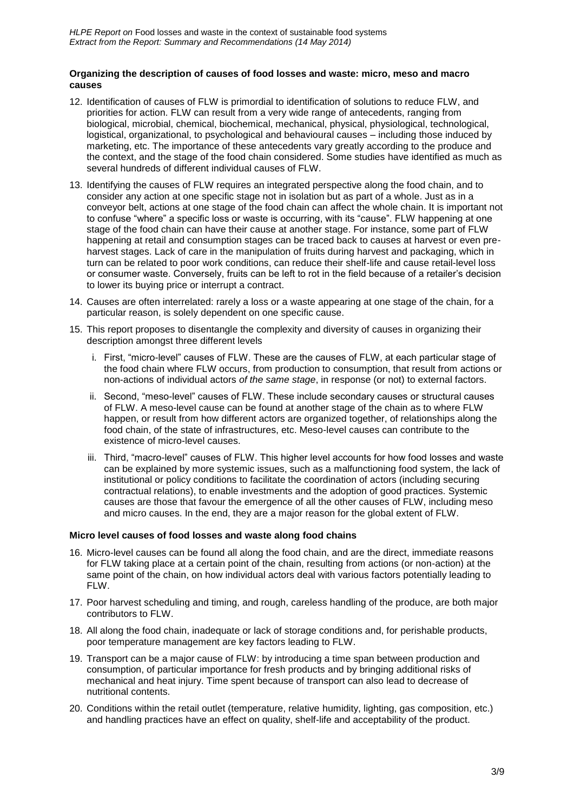#### **Organizing the description of causes of food losses and waste: micro, meso and macro causes**

- 12. Identification of causes of FLW is primordial to identification of solutions to reduce FLW, and priorities for action. FLW can result from a very wide range of antecedents, ranging from biological, microbial, chemical, biochemical, mechanical, physical, physiological, technological, logistical, organizational, to psychological and behavioural causes – including those induced by marketing, etc. The importance of these antecedents vary greatly according to the produce and the context, and the stage of the food chain considered. Some studies have identified as much as several hundreds of different individual causes of FLW.
- 13. Identifying the causes of FLW requires an integrated perspective along the food chain, and to consider any action at one specific stage not in isolation but as part of a whole. Just as in a conveyor belt, actions at one stage of the food chain can affect the whole chain. It is important not to confuse "where" a specific loss or waste is occurring, with its "cause". FLW happening at one stage of the food chain can have their cause at another stage. For instance, some part of FLW happening at retail and consumption stages can be traced back to causes at harvest or even preharvest stages. Lack of care in the manipulation of fruits during harvest and packaging, which in turn can be related to poor work conditions, can reduce their shelf-life and cause retail-level loss or consumer waste. Conversely, fruits can be left to rot in the field because of a retailer's decision to lower its buying price or interrupt a contract.
- 14. Causes are often interrelated: rarely a loss or a waste appearing at one stage of the chain, for a particular reason, is solely dependent on one specific cause.
- 15. This report proposes to disentangle the complexity and diversity of causes in organizing their description amongst three different levels
	- i. First, "micro-level" causes of FLW. These are the causes of FLW, at each particular stage of the food chain where FLW occurs, from production to consumption, that result from actions or non-actions of individual actors *of the same stage*, in response (or not) to external factors.
	- ii. Second, "meso-level" causes of FLW. These include secondary causes or structural causes of FLW. A meso-level cause can be found at another stage of the chain as to where FLW happen, or result from how different actors are organized together, of relationships along the food chain, of the state of infrastructures, etc. Meso-level causes can contribute to the existence of micro-level causes.
	- iii. Third, "macro-level" causes of FLW. This higher level accounts for how food losses and waste can be explained by more systemic issues, such as a malfunctioning food system, the lack of institutional or policy conditions to facilitate the coordination of actors (including securing contractual relations), to enable investments and the adoption of good practices. Systemic causes are those that favour the emergence of all the other causes of FLW, including meso and micro causes. In the end, they are a major reason for the global extent of FLW.

#### **Micro level causes of food losses and waste along food chains**

- 16. Micro-level causes can be found all along the food chain, and are the direct, immediate reasons for FLW taking place at a certain point of the chain, resulting from actions (or non-action) at the same point of the chain, on how individual actors deal with various factors potentially leading to FLW.
- 17. Poor harvest scheduling and timing, and rough, careless handling of the produce, are both major contributors to FLW.
- 18. All along the food chain, inadequate or lack of storage conditions and, for perishable products, poor temperature management are key factors leading to FLW.
- 19. Transport can be a major cause of FLW: by introducing a time span between production and consumption, of particular importance for fresh products and by bringing additional risks of mechanical and heat injury. Time spent because of transport can also lead to decrease of nutritional contents.
- 20. Conditions within the retail outlet (temperature, relative humidity, lighting, gas composition, etc.) and handling practices have an effect on quality, shelf-life and acceptability of the product.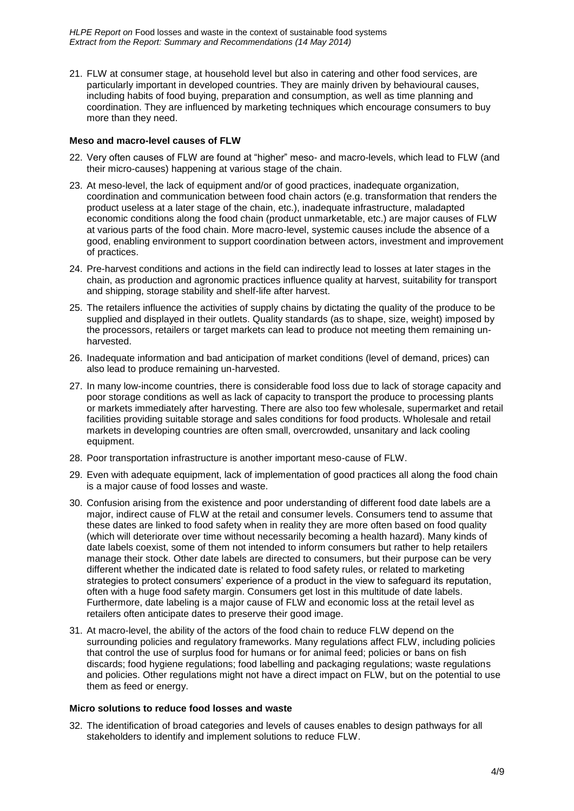*HLPE Report on* Food losses and waste in the context of sustainable food systems *Extract from the Report: Summary and Recommendations (14 May 2014)*

21. FLW at consumer stage, at household level but also in catering and other food services, are particularly important in developed countries. They are mainly driven by behavioural causes, including habits of food buying, preparation and consumption, as well as time planning and coordination. They are influenced by marketing techniques which encourage consumers to buy more than they need.

#### **Meso and macro-level causes of FLW**

- 22. Very often causes of FLW are found at "higher" meso- and macro-levels, which lead to FLW (and their micro-causes) happening at various stage of the chain.
- 23. At meso-level, the lack of equipment and/or of good practices, inadequate organization, coordination and communication between food chain actors (e.g. transformation that renders the product useless at a later stage of the chain, etc.), inadequate infrastructure, maladapted economic conditions along the food chain (product unmarketable, etc.) are major causes of FLW at various parts of the food chain. More macro-level, systemic causes include the absence of a good, enabling environment to support coordination between actors, investment and improvement of practices.
- 24. Pre-harvest conditions and actions in the field can indirectly lead to losses at later stages in the chain, as production and agronomic practices influence quality at harvest, suitability for transport and shipping, storage stability and shelf-life after harvest.
- 25. The retailers influence the activities of supply chains by dictating the quality of the produce to be supplied and displayed in their outlets. Quality standards (as to shape, size, weight) imposed by the processors, retailers or target markets can lead to produce not meeting them remaining unharvested.
- 26. Inadequate information and bad anticipation of market conditions (level of demand, prices) can also lead to produce remaining un-harvested.
- 27. In many low-income countries, there is considerable food loss due to lack of storage capacity and poor storage conditions as well as lack of capacity to transport the produce to processing plants or markets immediately after harvesting. There are also too few wholesale, supermarket and retail facilities providing suitable storage and sales conditions for food products. Wholesale and retail markets in developing countries are often small, overcrowded, unsanitary and lack cooling equipment.
- 28. Poor transportation infrastructure is another important meso-cause of FLW.
- 29. Even with adequate equipment, lack of implementation of good practices all along the food chain is a major cause of food losses and waste.
- 30. Confusion arising from the existence and poor understanding of different food date labels are a major, indirect cause of FLW at the retail and consumer levels. Consumers tend to assume that these dates are linked to food safety when in reality they are more often based on food quality (which will deteriorate over time without necessarily becoming a health hazard). Many kinds of date labels coexist, some of them not intended to inform consumers but rather to help retailers manage their stock. Other date labels are directed to consumers, but their purpose can be very different whether the indicated date is related to food safety rules, or related to marketing strategies to protect consumers' experience of a product in the view to safeguard its reputation, often with a huge food safety margin. Consumers get lost in this multitude of date labels. Furthermore, date labeling is a major cause of FLW and economic loss at the retail level as retailers often anticipate dates to preserve their good image.
- 31. At macro-level, the ability of the actors of the food chain to reduce FLW depend on the surrounding policies and regulatory frameworks. Many regulations affect FLW, including policies that control the use of surplus food for humans or for animal feed; policies or bans on fish discards; food hygiene regulations; food labelling and packaging regulations; waste regulations and policies. Other regulations might not have a direct impact on FLW, but on the potential to use them as feed or energy.

#### **Micro solutions to reduce food losses and waste**

32. The identification of broad categories and levels of causes enables to design pathways for all stakeholders to identify and implement solutions to reduce FLW.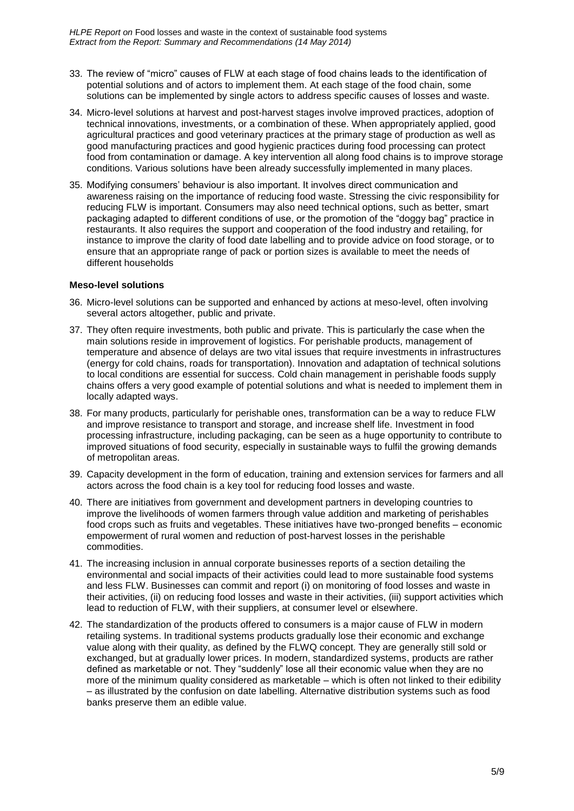- 33. The review of "micro" causes of FLW at each stage of food chains leads to the identification of potential solutions and of actors to implement them. At each stage of the food chain, some solutions can be implemented by single actors to address specific causes of losses and waste.
- 34. Micro-level solutions at harvest and post-harvest stages involve improved practices, adoption of technical innovations, investments, or a combination of these. When appropriately applied, good agricultural practices and good veterinary practices at the primary stage of production as well as good manufacturing practices and good hygienic practices during food processing can protect food from contamination or damage. A key intervention all along food chains is to improve storage conditions. Various solutions have been already successfully implemented in many places.
- 35. Modifying consumers' behaviour is also important. It involves direct communication and awareness raising on the importance of reducing food waste. Stressing the civic responsibility for reducing FLW is important. Consumers may also need technical options, such as better, smart packaging adapted to different conditions of use, or the promotion of the "doggy bag" practice in restaurants. It also requires the support and cooperation of the food industry and retailing, for instance to improve the clarity of food date labelling and to provide advice on food storage, or to ensure that an appropriate range of pack or portion sizes is available to meet the needs of different households

#### **Meso-level solutions**

- 36. Micro-level solutions can be supported and enhanced by actions at meso-level, often involving several actors altogether, public and private.
- 37. They often require investments, both public and private. This is particularly the case when the main solutions reside in improvement of logistics. For perishable products, management of temperature and absence of delays are two vital issues that require investments in infrastructures (energy for cold chains, roads for transportation). Innovation and adaptation of technical solutions to local conditions are essential for success. Cold chain management in perishable foods supply chains offers a very good example of potential solutions and what is needed to implement them in locally adapted ways.
- 38. For many products, particularly for perishable ones, transformation can be a way to reduce FLW and improve resistance to transport and storage, and increase shelf life. Investment in food processing infrastructure, including packaging, can be seen as a huge opportunity to contribute to improved situations of food security, especially in sustainable ways to fulfil the growing demands of metropolitan areas.
- 39. Capacity development in the form of education, training and extension services for farmers and all actors across the food chain is a key tool for reducing food losses and waste.
- 40. There are initiatives from government and development partners in developing countries to improve the livelihoods of women farmers through value addition and marketing of perishables food crops such as fruits and vegetables. These initiatives have two-pronged benefits – economic empowerment of rural women and reduction of post-harvest losses in the perishable commodities.
- 41. The increasing inclusion in annual corporate businesses reports of a section detailing the environmental and social impacts of their activities could lead to more sustainable food systems and less FLW. Businesses can commit and report (i) on monitoring of food losses and waste in their activities, (ii) on reducing food losses and waste in their activities, (iii) support activities which lead to reduction of FLW, with their suppliers, at consumer level or elsewhere.
- 42. The standardization of the products offered to consumers is a major cause of FLW in modern retailing systems. In traditional systems products gradually lose their economic and exchange value along with their quality, as defined by the FLWQ concept. They are generally still sold or exchanged, but at gradually lower prices. In modern, standardized systems, products are rather defined as marketable or not. They "suddenly" lose all their economic value when they are no more of the minimum quality considered as marketable – which is often not linked to their edibility – as illustrated by the confusion on date labelling. Alternative distribution systems such as food banks preserve them an edible value.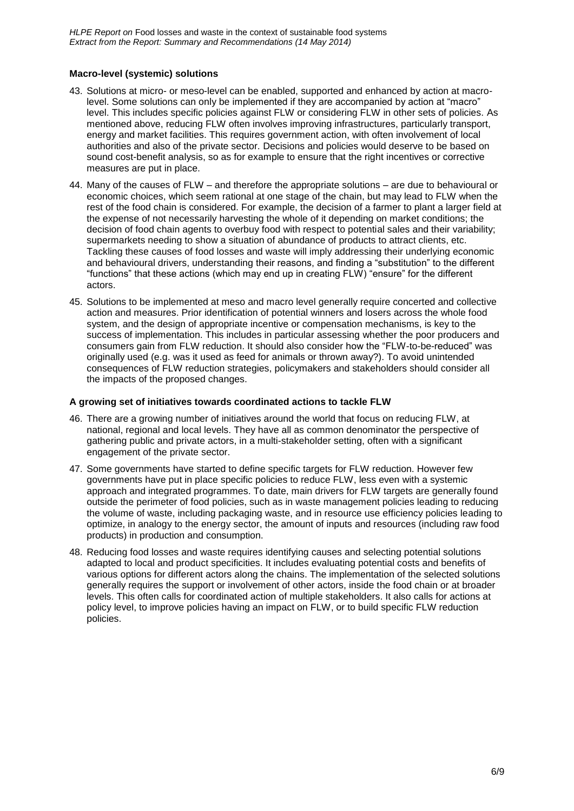#### **Macro-level (systemic) solutions**

- 43. Solutions at micro- or meso-level can be enabled, supported and enhanced by action at macrolevel. Some solutions can only be implemented if they are accompanied by action at "macro" level. This includes specific policies against FLW or considering FLW in other sets of policies. As mentioned above, reducing FLW often involves improving infrastructures, particularly transport, energy and market facilities. This requires government action, with often involvement of local authorities and also of the private sector. Decisions and policies would deserve to be based on sound cost-benefit analysis, so as for example to ensure that the right incentives or corrective measures are put in place.
- 44. Many of the causes of FLW and therefore the appropriate solutions are due to behavioural or economic choices, which seem rational at one stage of the chain, but may lead to FLW when the rest of the food chain is considered. For example, the decision of a farmer to plant a larger field at the expense of not necessarily harvesting the whole of it depending on market conditions; the decision of food chain agents to overbuy food with respect to potential sales and their variability; supermarkets needing to show a situation of abundance of products to attract clients, etc. Tackling these causes of food losses and waste will imply addressing their underlying economic and behavioural drivers, understanding their reasons, and finding a "substitution" to the different "functions" that these actions (which may end up in creating FLW) "ensure" for the different actors.
- 45. Solutions to be implemented at meso and macro level generally require concerted and collective action and measures. Prior identification of potential winners and losers across the whole food system, and the design of appropriate incentive or compensation mechanisms, is key to the success of implementation. This includes in particular assessing whether the poor producers and consumers gain from FLW reduction. It should also consider how the "FLW-to-be-reduced" was originally used (e.g. was it used as feed for animals or thrown away?). To avoid unintended consequences of FLW reduction strategies, policymakers and stakeholders should consider all the impacts of the proposed changes.

#### **A growing set of initiatives towards coordinated actions to tackle FLW**

- 46. There are a growing number of initiatives around the world that focus on reducing FLW, at national, regional and local levels. They have all as common denominator the perspective of gathering public and private actors, in a multi-stakeholder setting, often with a significant engagement of the private sector.
- 47. Some governments have started to define specific targets for FLW reduction. However few governments have put in place specific policies to reduce FLW, less even with a systemic approach and integrated programmes. To date, main drivers for FLW targets are generally found outside the perimeter of food policies, such as in waste management policies leading to reducing the volume of waste, including packaging waste, and in resource use efficiency policies leading to optimize, in analogy to the energy sector, the amount of inputs and resources (including raw food products) in production and consumption.
- 48. Reducing food losses and waste requires identifying causes and selecting potential solutions adapted to local and product specificities. It includes evaluating potential costs and benefits of various options for different actors along the chains. The implementation of the selected solutions generally requires the support or involvement of other actors, inside the food chain or at broader levels. This often calls for coordinated action of multiple stakeholders. It also calls for actions at policy level, to improve policies having an impact on FLW, or to build specific FLW reduction policies.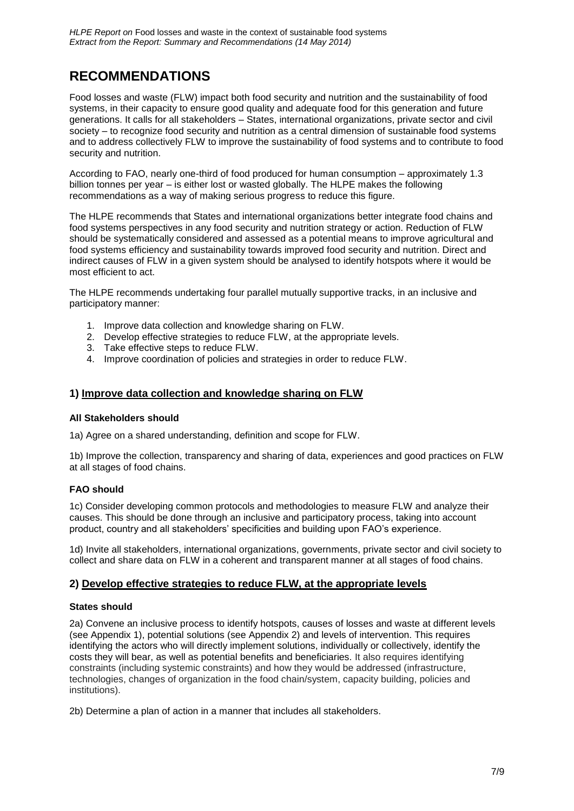### **RECOMMENDATIONS**

Food losses and waste (FLW) impact both food security and nutrition and the sustainability of food systems, in their capacity to ensure good quality and adequate food for this generation and future generations. It calls for all stakeholders – States, international organizations, private sector and civil society – to recognize food security and nutrition as a central dimension of sustainable food systems and to address collectively FLW to improve the sustainability of food systems and to contribute to food security and nutrition.

According to FAO, nearly one-third of food produced for human consumption – approximately 1.3 billion tonnes per year – is either lost or wasted globally. The HLPE makes the following recommendations as a way of making serious progress to reduce this figure.

The HLPE recommends that States and international organizations better integrate food chains and food systems perspectives in any food security and nutrition strategy or action. Reduction of FLW should be systematically considered and assessed as a potential means to improve agricultural and food systems efficiency and sustainability towards improved food security and nutrition. Direct and indirect causes of FLW in a given system should be analysed to identify hotspots where it would be most efficient to act.

The HLPE recommends undertaking four parallel mutually supportive tracks, in an inclusive and participatory manner:

- 1. Improve data collection and knowledge sharing on FLW.
- 2. Develop effective strategies to reduce FLW, at the appropriate levels.
- 3. Take effective steps to reduce FLW.
- 4. Improve coordination of policies and strategies in order to reduce FLW.

#### **1) Improve data collection and knowledge sharing on FLW**

#### **All Stakeholders should**

1a) Agree on a shared understanding, definition and scope for FLW.

1b) Improve the collection, transparency and sharing of data, experiences and good practices on FLW at all stages of food chains.

#### **FAO should**

1c) Consider developing common protocols and methodologies to measure FLW and analyze their causes. This should be done through an inclusive and participatory process, taking into account product, country and all stakeholders' specificities and building upon FAO's experience.

1d) Invite all stakeholders, international organizations, governments, private sector and civil society to collect and share data on FLW in a coherent and transparent manner at all stages of food chains.

#### **2) Develop effective strategies to reduce FLW, at the appropriate levels**

#### **States should**

2a) Convene an inclusive process to identify hotspots, causes of losses and waste at different levels (see Appendix 1), potential solutions (see Appendix 2) and levels of intervention. This requires identifying the actors who will directly implement solutions, individually or collectively, identify the costs they will bear, as well as potential benefits and beneficiaries. It also requires identifying constraints (including systemic constraints) and how they would be addressed (infrastructure, technologies, changes of organization in the food chain/system, capacity building, policies and institutions).

2b) Determine a plan of action in a manner that includes all stakeholders.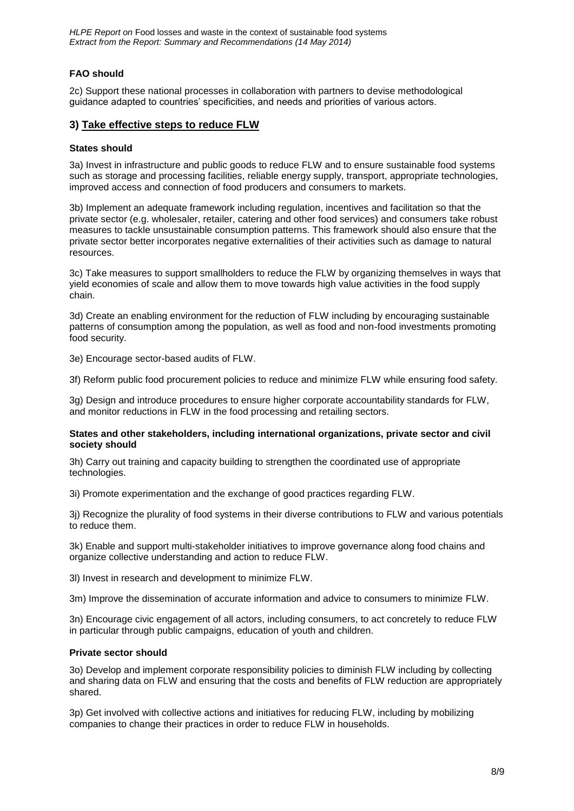*HLPE Report on* Food losses and waste in the context of sustainable food systems *Extract from the Report: Summary and Recommendations (14 May 2014)*

#### **FAO should**

2c) Support these national processes in collaboration with partners to devise methodological guidance adapted to countries' specificities, and needs and priorities of various actors.

#### **3) Take effective steps to reduce FLW**

#### **States should**

3a) Invest in infrastructure and public goods to reduce FLW and to ensure sustainable food systems such as storage and processing facilities, reliable energy supply, transport, appropriate technologies, improved access and connection of food producers and consumers to markets.

3b) Implement an adequate framework including regulation, incentives and facilitation so that the private sector (e.g. wholesaler, retailer, catering and other food services) and consumers take robust measures to tackle unsustainable consumption patterns. This framework should also ensure that the private sector better incorporates negative externalities of their activities such as damage to natural resources.

3c) Take measures to support smallholders to reduce the FLW by organizing themselves in ways that yield economies of scale and allow them to move towards high value activities in the food supply chain.

3d) Create an enabling environment for the reduction of FLW including by encouraging sustainable patterns of consumption among the population, as well as food and non-food investments promoting food security.

3e) Encourage sector-based audits of FLW.

3f) Reform public food procurement policies to reduce and minimize FLW while ensuring food safety.

3g) Design and introduce procedures to ensure higher corporate accountability standards for FLW, and monitor reductions in FLW in the food processing and retailing sectors.

#### **States and other stakeholders, including international organizations, private sector and civil society should**

3h) Carry out training and capacity building to strengthen the coordinated use of appropriate technologies.

3i) Promote experimentation and the exchange of good practices regarding FLW.

3j) Recognize the plurality of food systems in their diverse contributions to FLW and various potentials to reduce them.

3k) Enable and support multi-stakeholder initiatives to improve governance along food chains and organize collective understanding and action to reduce FLW.

3l) Invest in research and development to minimize FLW.

3m) Improve the dissemination of accurate information and advice to consumers to minimize FLW.

3n) Encourage civic engagement of all actors, including consumers, to act concretely to reduce FLW in particular through public campaigns, education of youth and children.

#### **Private sector should**

3o) Develop and implement corporate responsibility policies to diminish FLW including by collecting and sharing data on FLW and ensuring that the costs and benefits of FLW reduction are appropriately shared.

3p) Get involved with collective actions and initiatives for reducing FLW, including by mobilizing companies to change their practices in order to reduce FLW in households.